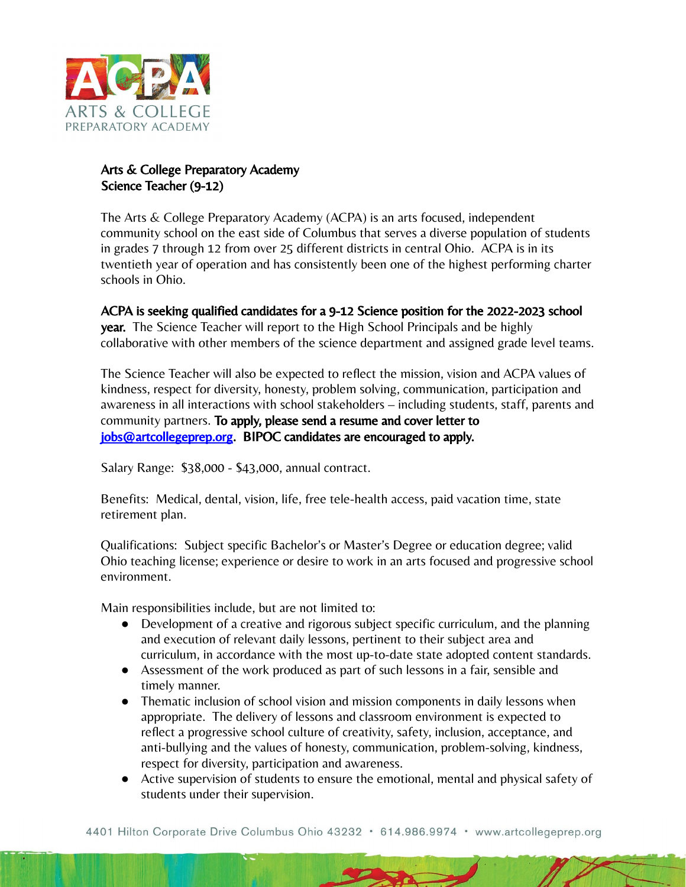

## Arts & College Preparatory Academy Science Teacher (9-12)

The Arts & College Preparatory Academy (ACPA) is an arts focused, independent community school on the east side of Columbus that serves a diverse population of students in grades 7 through 12 from over 25 different districts in central Ohio. ACPA is in its twentieth year of operation and has consistently been one of the highest performing charter schools in Ohio.

ACPA is seeking qualified candidates for a 9-12 Science position for the 2022-2023 school year. The Science Teacher will report to the High School Principals and be highly collaborative with other members of the science department and assigned grade level teams.

The Science Teacher will also be expected to reflect the mission, vision and ACPA values of kindness, respect for diversity, honesty, problem solving, communication, participation and awareness in all interactions with school stakeholders – including students, staff, parents and community partners. To apply, please send a resume and cover letter to [jobs@artcollegeprep.org.](mailto:jobs@artcollegeprep.org) BIPOC candidates are encouraged to apply.

Salary Range: \$38,000 - \$43,000, annual contract.

Benefits: Medical, dental, vision, life, free tele-health access, paid vacation time, state retirement plan.

Qualifications: Subject specific Bachelor's or Master's Degree or education degree; valid Ohio teaching license; experience or desire to work in an arts focused and progressive school environment.

Main responsibilities include, but are not limited to:

- Development of a creative and rigorous subject specific curriculum, and the planning and execution of relevant daily lessons, pertinent to their subject area and curriculum, in accordance with the most up-to-date state adopted content standards.
- Assessment of the work produced as part of such lessons in a fair, sensible and timely manner.
- Thematic inclusion of school vision and mission components in daily lessons when appropriate. The delivery of lessons and classroom environment is expected to reflect a progressive school culture of creativity, safety, inclusion, acceptance, and anti-bullying and the values of honesty, communication, problem-solving, kindness, respect for diversity, participation and awareness.
- Active supervision of students to ensure the emotional, mental and physical safety of students under their supervision.